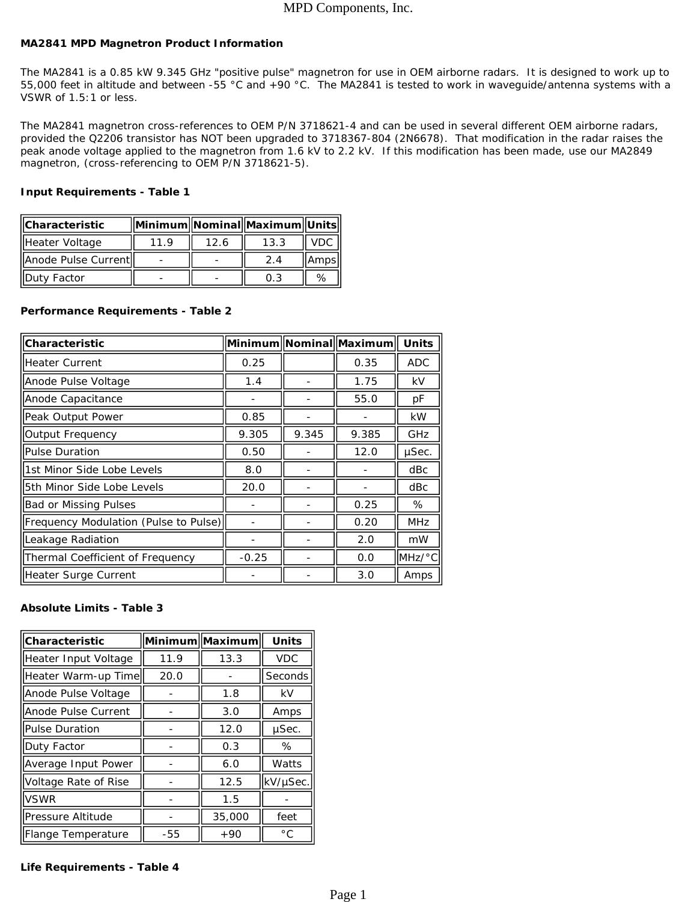# MPD Components, Inc.

## **MA2841 MPD Magnetron Product Information**

The MA2841 is a 0.85 kW 9.345 GHz "positive pulse" magnetron for use in OEM airborne radars. It is designed to work up to 55,000 feet in altitude and between -55 °C and +90 °C. The MA2841 is tested to work in waveguide/antenna systems with a VSWR of 1.5:1 or less.

The MA2841 magnetron cross-references to OEM P/N 3718621-4 and can be used in several different OEM airborne radars, *provided the Q2206 transistor has NOT been upgraded to 3718367-804 (2N6678). That modification in the radar raises the peak anode voltage applied to the magnetron from 1.6 kV to 2.2 kV.* If this modification has been made, use our MA2849 magnetron, (cross-referencing to OEM P/N 3718621-5).

### **Input Requirements - Table 1**

| <b>IICharacteristic</b> |     |      | Minimum  Nominal  Maximum  Units |         |
|-------------------------|-----|------|----------------------------------|---------|
| Heater Voltage          | 119 | 12.6 | 13.3                             | VDC.    |
| Anode Pulse Current     |     |      | 24                               | lAmpsll |
| <b>IIDuty Factor</b>    |     |      | 0.3                              | %       |

## **Performance Requirements - Table 2**

| <b>Characteristic</b>                 |         |       | Minimum Nominal Maximum | <b>Units</b>          |
|---------------------------------------|---------|-------|-------------------------|-----------------------|
| <b>Heater Current</b>                 | 0.25    |       | 0.35                    | <b>ADC</b>            |
| Anode Pulse Voltage                   | 1.4     |       | 1.75                    | kV                    |
| Anode Capacitance                     |         |       | 55.0                    | рF                    |
| Peak Output Power                     | 0.85    |       |                         | <b>kW</b>             |
| <b>Output Frequency</b>               | 9.305   | 9.345 | 9.385                   | GHz                   |
| Pulse Duration                        | 0.50    |       | 12.0                    | µSec.                 |
| 1st Minor Side Lobe Levels            | 8.0     |       |                         | dBc                   |
| l5th Minor Side Lobe Levels           | 20.0    |       |                         | dBc                   |
| <b>Bad or Missing Pulses</b>          |         |       | 0.25                    | %                     |
| Frequency Modulation (Pulse to Pulse) |         |       | 0.20                    | <b>MHz</b>            |
| Leakage Radiation                     |         |       | 2.0                     | mW                    |
| Thermal Coefficient of Frequency      | $-0.25$ |       | 0.0                     | $IMHz$ <sup>o</sup> C |
| Heater Surge Current                  |         |       | 3.0                     | Amps                  |

# **Absolute Limits - Table 3**

| Characteristic             | Minimum  Maximum |        | <b>Units</b> |
|----------------------------|------------------|--------|--------------|
| Heater Input Voltage       | 11.9             | 13.3   | <b>VDC</b>   |
| Heater Warm-up Time        | 20.0             |        | Seconds      |
| Anode Pulse Voltage        |                  | 1.8    | kV           |
| lAnode Pulse Current       |                  | 3.0    | Amps         |
| <b>Pulse Duration</b>      |                  | 12.0   | µSec.        |
| Duty Factor                |                  | 0.3    | %            |
| Average Input Power        |                  | 6.0    | Watts        |
| Voltage Rate of Rise       |                  | 12.5   | kV/µSec.     |
| <b>VSWR</b>                |                  | 1.5    |              |
| Pressure Altitude          |                  | 35,000 | feet         |
| <b>IFlange Temperature</b> | -55              | $+90$  | $^{\circ}$ C |

### **Life Requirements - Table 4**